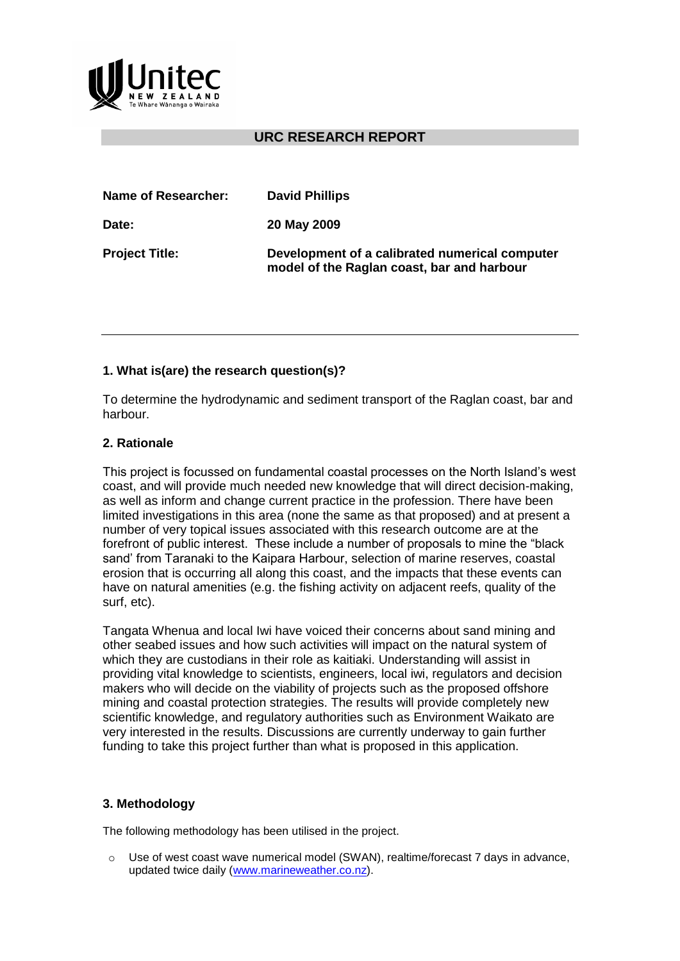

# **URC RESEARCH REPORT**

| Name of Researcher:   | <b>David Phillips</b>                                                                        |
|-----------------------|----------------------------------------------------------------------------------------------|
| Date:                 | 20 May 2009                                                                                  |
| <b>Project Title:</b> | Development of a calibrated numerical computer<br>model of the Raglan coast, bar and harbour |

## **1. What is(are) the research question(s)?**

To determine the hydrodynamic and sediment transport of the Raglan coast, bar and harbour.

### **2. Rationale**

This project is focussed on fundamental coastal processes on the North Island's west coast, and will provide much needed new knowledge that will direct decision-making, as well as inform and change current practice in the profession. There have been limited investigations in this area (none the same as that proposed) and at present a number of very topical issues associated with this research outcome are at the forefront of public interest. These include a number of proposals to mine the "black sand' from Taranaki to the Kaipara Harbour, selection of marine reserves, coastal erosion that is occurring all along this coast, and the impacts that these events can have on natural amenities (e.g. the fishing activity on adjacent reefs, quality of the surf, etc).

Tangata Whenua and local Iwi have voiced their concerns about sand mining and other seabed issues and how such activities will impact on the natural system of which they are custodians in their role as kaitiaki. Understanding will assist in providing vital knowledge to scientists, engineers, local iwi, regulators and decision makers who will decide on the viability of projects such as the proposed offshore mining and coastal protection strategies. The results will provide completely new scientific knowledge, and regulatory authorities such as Environment Waikato are very interested in the results. Discussions are currently underway to gain further funding to take this project further than what is proposed in this application.

#### **3. Methodology**

The following methodology has been utilised in the project.

o Use of west coast wave numerical model (SWAN), realtime/forecast 7 days in advance, updated twice daily [\(www.marineweather.co.nz\)](https://webmail.unitec.ac.nz/gw/webacc?User.context=dt6rodOiajl8mh5Om0&merge=linkurl&Url.linkText=http%3a%2f%2fwww%2emarineweather%2eco%2enz).